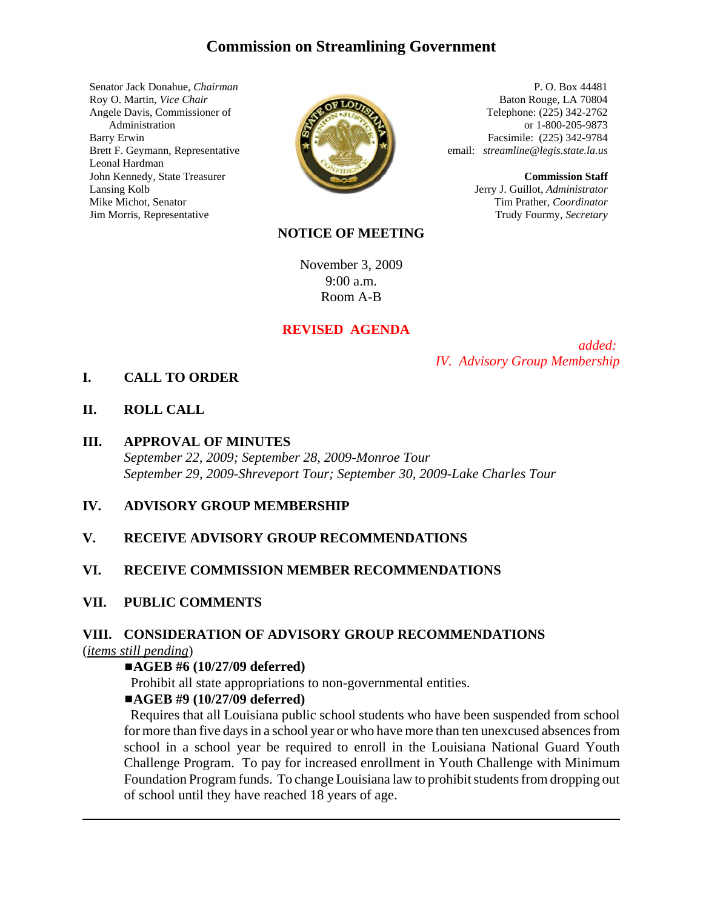# **Commission on Streamlining Government**

Senator Jack Donahue, *Chairman* Roy O. Martin, *Vice Chair* Angele Davis, Commissioner of Administration Barry Erwin Brett F. Geymann, Representative Leonal Hardman John Kennedy, State Treasurer Lansing Kolb Mike Michot, Senator Jim Morris, Representative



P. O. Box 44481 Baton Rouge, LA 70804 Telephone: (225) 342-2762 or 1-800-205-9873 Facsimile: (225) 342-9784 email: *streamline@legis.state.la.us*

> **Commission Staff** Jerry J. Guillot, *Administrator* Tim Prather, *Coordinator* Trudy Fourmy, *Secretary*

#### **NOTICE OF MEETING**

November 3, 2009 9:00 a.m. Room A-B

#### **REVISED AGENDA**

 *added: IV. Advisory Group Membership*

### **I. CALL TO ORDER**

**II. ROLL CALL**

#### **III. APPROVAL OF MINUTES**

*September 22, 2009; September 28, 2009-Monroe Tour September 29, 2009-Shreveport Tour; September 30, 2009-Lake Charles Tour*

#### **IV. ADVISORY GROUP MEMBERSHIP**

#### **V. RECEIVE ADVISORY GROUP RECOMMENDATIONS**

#### **VI. RECEIVE COMMISSION MEMBER RECOMMENDATIONS**

### **VII. PUBLIC COMMENTS**

## **VIII. CONSIDERATION OF ADVISORY GROUP RECOMMENDATIONS**

(*items still pending*)

#### #**AGEB #6 (10/27/09 deferred)**

Prohibit all state appropriations to non-governmental entities.

### #**AGEB #9 (10/27/09 deferred)**

 Requires that all Louisiana public school students who have been suspended from school for more than five days in a school year or who have more than ten unexcused absences from school in a school year be required to enroll in the Louisiana National Guard Youth Challenge Program. To pay for increased enrollment in Youth Challenge with Minimum Foundation Program funds. To change Louisiana law to prohibit students from dropping out of school until they have reached 18 years of age.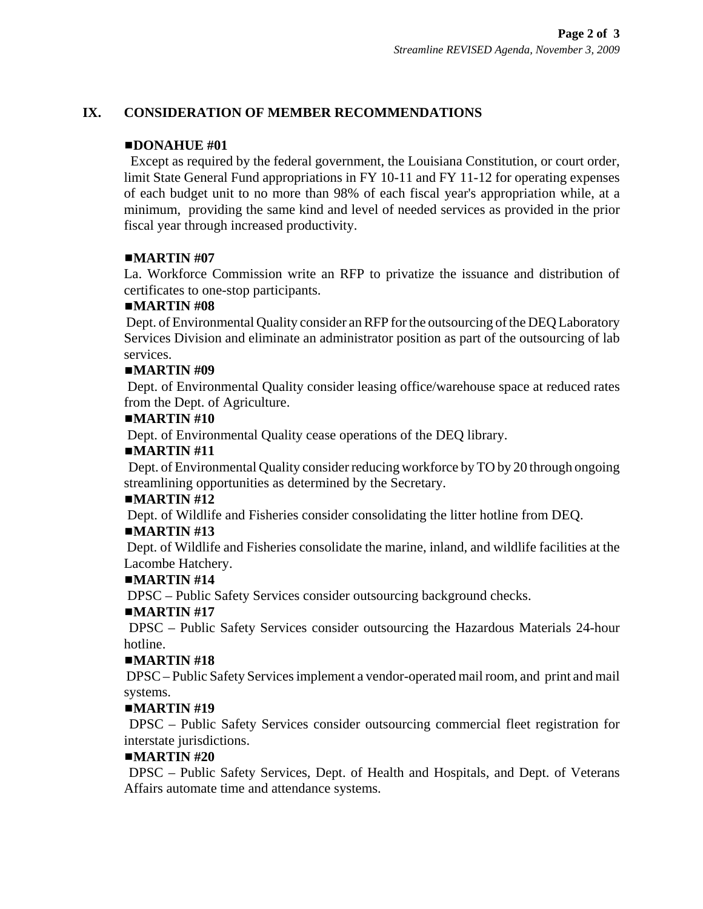## **IX. CONSIDERATION OF MEMBER RECOMMENDATIONS**

## #**DONAHUE #01**

Except as required by the federal government, the Louisiana Constitution, or court order, limit State General Fund appropriations in FY 10-11 and FY 11-12 for operating expenses of each budget unit to no more than 98% of each fiscal year's appropriation while, at a minimum, providing the same kind and level of needed services as provided in the prior fiscal year through increased productivity.

## $MARTIN #07$

La. Workforce Commission write an RFP to privatize the issuance and distribution of certificates to one-stop participants.

## $MARTIN$ **#08**

 Dept. of Environmental Quality consider an RFP for the outsourcing of the DEQ Laboratory Services Division and eliminate an administrator position as part of the outsourcing of lab services.

## $MARTIN$ #09

 Dept. of Environmental Quality consider leasing office/warehouse space at reduced rates from the Dept. of Agriculture.

## $MARTIN #10$

Dept. of Environmental Quality cease operations of the DEQ library.

## $MARTIN #11$

 Dept. of Environmental Quality consider reducing workforce by TO by 20 through ongoing streamlining opportunities as determined by the Secretary.

### $MARTIN #12$

Dept. of Wildlife and Fisheries consider consolidating the litter hotline from DEQ.

## $\blacksquare$ **MARTIN**#13

 Dept. of Wildlife and Fisheries consolidate the marine, inland, and wildlife facilities at the Lacombe Hatchery.

### $\blacksquare$ **MARTIN**#14

DPSC – Public Safety Services consider outsourcing background checks.

### $\blacksquare$ **MARTIN**#17

DPSC – Public Safety Services consider outsourcing the Hazardous Materials 24-hour hotline.

### $MARTIN #18$

 DPSC – Public Safety Services implement a vendor-operated mail room, and print and mail systems.

## $MARTIN #19$

 DPSC – Public Safety Services consider outsourcing commercial fleet registration for interstate jurisdictions.

### $-MARTIN$ #20

 DPSC – Public Safety Services, Dept. of Health and Hospitals, and Dept. of Veterans Affairs automate time and attendance systems.